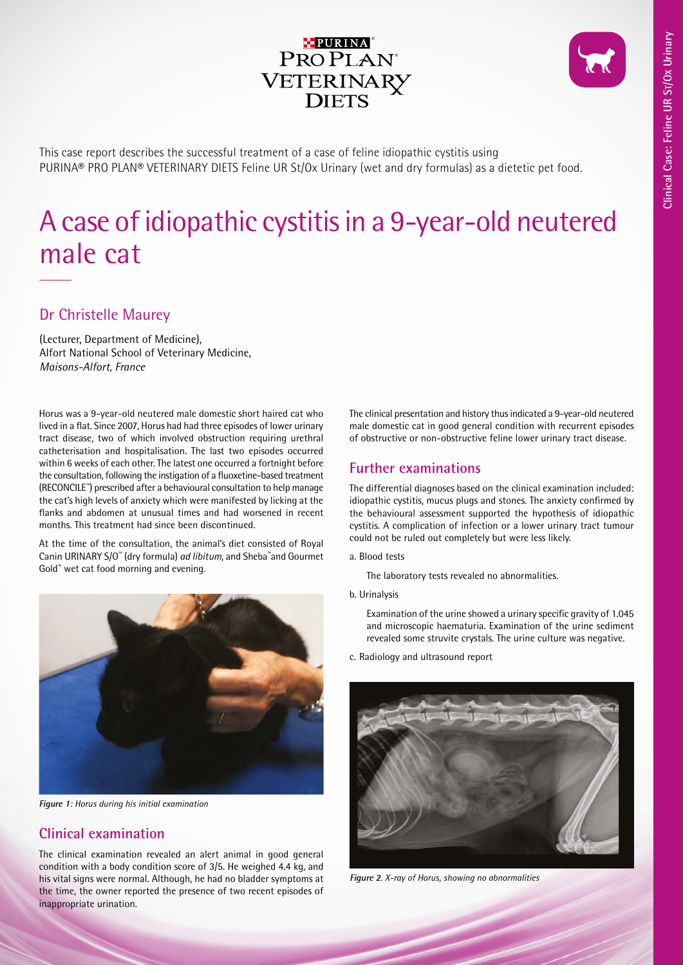

This case report describes the successful treatment of a case of feline idiopathic cystitis using PURINA® PRO PLAN® VETERINARY DIETS Feline UR St/Ox Urinary (wet and dry formulas) as a dietetic pet food.

# A case of idiopathic cystitis in a 9-year-old neutered male cat

# Dr Christelle Maurey

(Lecturer, Department of Medicine), Alfort National School of Veterinary Medicine, *Maisons-Alfort, France*

Horus was a 9-year-old neutered male domestic short haired cat who lived in a flat. Since 2007, Horus had had three episodes of lower urinary tract disease, two of which involved obstruction requiring urethral catheterisation and hospitalisation. The last two episodes occurred within 6 weeks of each other. The latest one occurred a fortnight before the consultation, following the instigation of a fluoxetine-based treatment (RECONCILE™) prescribed after a behavioural consultation to help manage the cat's high levels of anxiety which were manifested by licking at the flanks and abdomen at unusual times and had worsened in recent months. This treatment had since been discontinued.

At the time of the consultation, the animal's diet consisted of Royal Canin URINARY S/O™ (dry formula) *ad libitum*, and Sheba™and Gourmet Gold™ wet cat food morning and evening.



**Figure 1**: *Horus during his initial examination*

# **Clinical examination**

The clinical examination revealed an alert animal in good general condition with a body condition score of 3/5. He weighed 4.4 kg, and his vital signs were normal. Although, he had no bladder symptoms at the time, the owner reported the presence of two recent episodes of inappropriate urination.

The clinical presentation and history thus indicated a 9-year-old neutered male domestic cat in good general condition with recurrent episodes of obstructive or non-obstructive feline lower urinary tract disease.

## **Further examinations**

The differential diagnoses based on the clinical examination included: idiopathic cystitis, mucus plugs and stones. The anxiety confirmed by the behavioural assessment supported the hypothesis of idiopathic cystitis. A complication of infection or a lower urinary tract tumour could not be ruled out completely but were less likely.

a. Blood tests

The laboratory tests revealed no abnormalities.

b. Urinalysis

Examination of the urine showed a urinary specific gravity of 1.045 and microscopic haematuria. Examination of the urine sediment revealed some struvite crystals. The urine culture was negative.

c. Radiology and ultrasound report



**Figure 2**. *X-ray of Horus, showing no abnormalities*